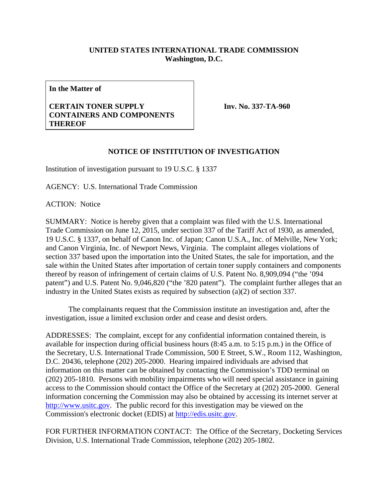## **UNITED STATES INTERNATIONAL TRADE COMMISSION Washington, D.C.**

**In the Matter of** 

## **CERTAIN TONER SUPPLY CONTAINERS AND COMPONENTS THEREOF**

**Inv. No. 337-TA-960**

## **NOTICE OF INSTITUTION OF INVESTIGATION**

Institution of investigation pursuant to 19 U.S.C. § 1337

AGENCY: U.S. International Trade Commission

ACTION: Notice

SUMMARY: Notice is hereby given that a complaint was filed with the U.S. International Trade Commission on June 12, 2015, under section 337 of the Tariff Act of 1930, as amended, 19 U.S.C. § 1337, on behalf of Canon Inc. of Japan; Canon U.S.A., Inc. of Melville, New York; and Canon Virginia, Inc. of Newport News, Virginia. The complaint alleges violations of section 337 based upon the importation into the United States, the sale for importation, and the sale within the United States after importation of certain toner supply containers and components thereof by reason of infringement of certain claims of U.S. Patent No. 8,909,094 ("the '094 patent") and U.S. Patent No. 9,046,820 ("the '820 patent"). The complaint further alleges that an industry in the United States exists as required by subsection (a)(2) of section 337.

 The complainants request that the Commission institute an investigation and, after the investigation, issue a limited exclusion order and cease and desist orders.

ADDRESSES: The complaint, except for any confidential information contained therein, is available for inspection during official business hours (8:45 a.m. to 5:15 p.m.) in the Office of the Secretary, U.S. International Trade Commission, 500 E Street, S.W., Room 112, Washington, D.C. 20436, telephone (202) 205-2000. Hearing impaired individuals are advised that information on this matter can be obtained by contacting the Commission's TDD terminal on (202) 205-1810. Persons with mobility impairments who will need special assistance in gaining access to the Commission should contact the Office of the Secretary at (202) 205-2000. General information concerning the Commission may also be obtained by accessing its internet server at http://www.usitc.gov. The public record for this investigation may be viewed on the Commission's electronic docket (EDIS) at http://edis.usitc.gov.

FOR FURTHER INFORMATION CONTACT: The Office of the Secretary, Docketing Services Division, U.S. International Trade Commission, telephone (202) 205-1802.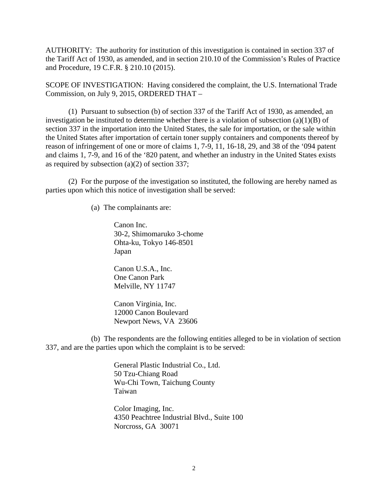AUTHORITY: The authority for institution of this investigation is contained in section 337 of the Tariff Act of 1930, as amended, and in section 210.10 of the Commission's Rules of Practice and Procedure, 19 C.F.R. § 210.10 (2015).

SCOPE OF INVESTIGATION: Having considered the complaint, the U.S. International Trade Commission, on July 9, 2015, ORDERED THAT –

 (1) Pursuant to subsection (b) of section 337 of the Tariff Act of 1930, as amended, an investigation be instituted to determine whether there is a violation of subsection  $(a)(1)(B)$  of section 337 in the importation into the United States, the sale for importation, or the sale within the United States after importation of certain toner supply containers and components thereof by reason of infringement of one or more of claims 1, 7-9, 11, 16-18, 29, and 38 of the '094 patent and claims 1, 7-9, and 16 of the '820 patent, and whether an industry in the United States exists as required by subsection (a)(2) of section 337;

 (2) For the purpose of the investigation so instituted, the following are hereby named as parties upon which this notice of investigation shall be served:

(a) The complainants are:

Canon Inc. 30-2, Shimomaruko 3-chome Ohta-ku, Tokyo 146-8501 Japan

Canon U.S.A., Inc. One Canon Park Melville, NY 11747

Canon Virginia, Inc. 12000 Canon Boulevard Newport News, VA 23606

 (b) The respondents are the following entities alleged to be in violation of section 337, and are the parties upon which the complaint is to be served:

> General Plastic Industrial Co., Ltd. 50 Tzu-Chiang Road Wu-Chi Town, Taichung County Taiwan

Color Imaging, Inc. 4350 Peachtree Industrial Blvd., Suite 100 Norcross, GA 30071